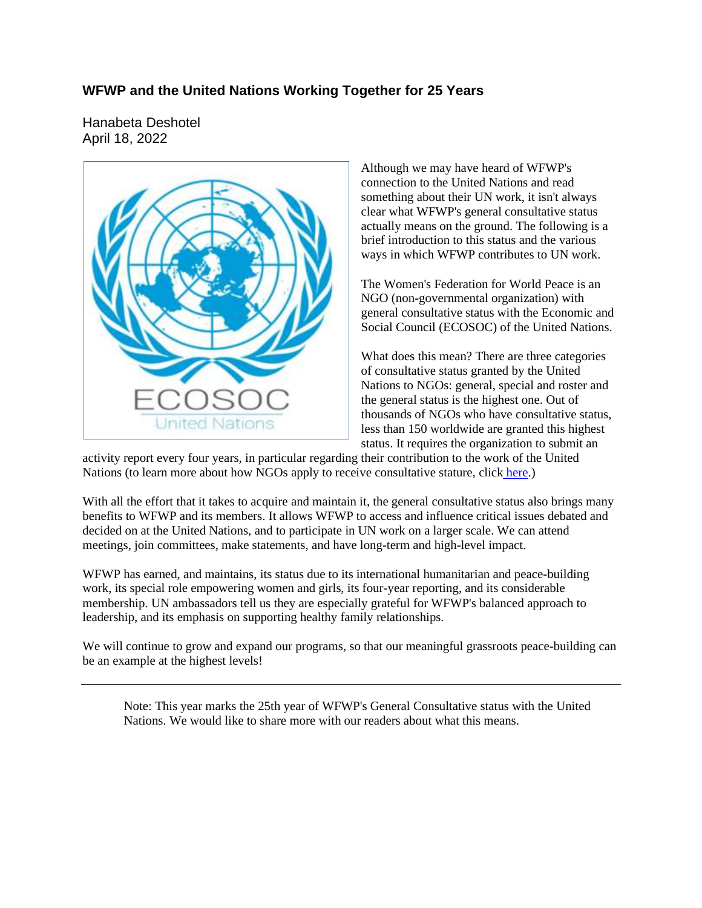# **WFWP and the United Nations Working Together for 25 Years**

Hanabeta Deshotel April 18, 2022



Although we may have heard of WFWP's connection to the United Nations and read something about their UN work, it isn't always clear what WFWP's general consultative status actually means on the ground. The following is a brief introduction to this status and the various ways in which WFWP contributes to UN work.

The Women's Federation for World Peace is an NGO (non-governmental organization) with general consultative status with the Economic and Social Council (ECOSOC) of the United Nations.

What does this mean? There are three categories of consultative status granted by the United Nations to NGOs: general, special and roster and the general status is the highest one. Out of thousands of NGOs who have consultative status, less than 150 worldwide are granted this highest status. It requires the organization to submit an

activity report every four years, in particular regarding their contribution to the work of the United Nations (to learn more about how NGOs apply to receive consultative stature, click here.)

With all the effort that it takes to acquire and maintain it, the general consultative status also brings many benefits to WFWP and its members. It allows WFWP to access and influence critical issues debated and decided on at the United Nations, and to participate in UN work on a larger scale. We can attend meetings, join committees, make statements, and have long-term and high-level impact.

WFWP has earned, and maintains, its status due to its international humanitarian and peace-building work, its special role empowering women and girls, its four-year reporting, and its considerable membership. UN ambassadors tell us they are especially grateful for WFWP's balanced approach to leadership, and its emphasis on supporting healthy family relationships.

We will continue to grow and expand our programs, so that our meaningful grassroots peace-building can be an example at the highest levels!

Note: This year marks the 25th year of WFWP's General Consultative status with the United Nations. We would like to share more with our readers about what this means.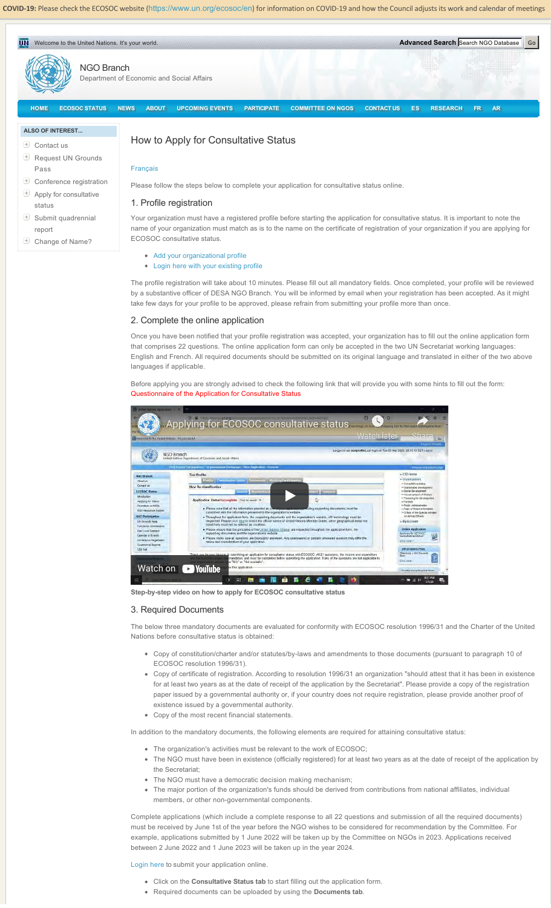**COVID‐19:** Please check the ECOSOC website (https://www.un.org/ecosoc/en) for information on COVID‐19 and how the Council adjusts its work and calendar of meetings



# *D* Contact us

- Request UN Grounds Pass
- Conference registration
- $\triangleq$  Apply for consultative status
- $\bigoplus$  Submit quadrennial report
- Change of Name?

# How to Apply for Consultative Status

Français

Please follow the steps below to complete your application for consultative status online.

### 1. Profile registration

Your organization must have a registered profile before starting the application for consultative status. It is important to note the name of your organization must match as is to the name on the certificate of registration of your organization if you are applying for ECOSOC consultative status.

- Add your organizational profile
- **•** Login here with your existing profile

The profile registration will take about 10 minutes. Please fill out all mandatory fields. Once completed, your profile will be reviewed by a substantive officer of DESA NGO Branch. You will be informed by email when your registration has been accepted. As it might take few days for your profile to be approved, please refrain from submitting your profile more than once.

### 2. Complete the online application

Once you have been notified that your profile registration was accepted, your organization has to fill out the online application form that comprises 22 questions. The online application form can only be accepted in the two UN Secretariat working languages: English and French. All required documents should be submitted on its original language and translated in either of the two above languages if applicable.

Before applying you are strongly advised to check the following link that will provide you with some hints to fill out the form: Questionnaire of the Application for Consultative Status



**Step-by-step video on how to apply for ECOSOC consultative status**

#### 3. Required Documents

The below three mandatory documents are evaluated for conformity with ECOSOC resolution 1996/31 and the Charter of the United Nations before consultative status is obtained:

- Copy of constitution/charter and/or statutes/by-laws and amendments to those documents (pursuant to paragraph 10 of ECOSOC resolution 1996/31).
- Copy of certificate of registration. According to resolution 1996/31 an organization "should attest that it has been in existence for at least two years as at the date of receipt of the application by the Secretariat". Please provide a copy of the registration paper issued by a governmental authority or, if your country does not require registration, please provide another proof of existence issued by a governmental authority.
- Copy of the most recent financial statements.

In addition to the mandatory documents, the following elements are required for attaining consultative status:

- The organization's activities must be relevant to the work of ECOSOC:
- The NGO must have been in existence (officially registered) for at least two years as at the date of receipt of the application by the Secretariat;
- The NGO must have a democratic decision making mechanism;
- The major portion of the organization's funds should be derived from contributions from national affiliates, individual members, or other non-governmental components.

Complete applications (which include a complete response to all 22 questions and submission of all the required documents) must be received by June 1st of the year before the NGO wishes to be considered for recommendation by the Committee. For example, applications submitted by 1 June 2022 will be taken up by the Committee on NGOs in 2023. Applications received between 2 June 2022 and 1 June 2023 will be taken up in the year 2024.

Login here to submit your application online.

- Click on the **Consultative Status tab** to start filling out the application form.
- Required documents can be uploaded by using the **Documents tab**.